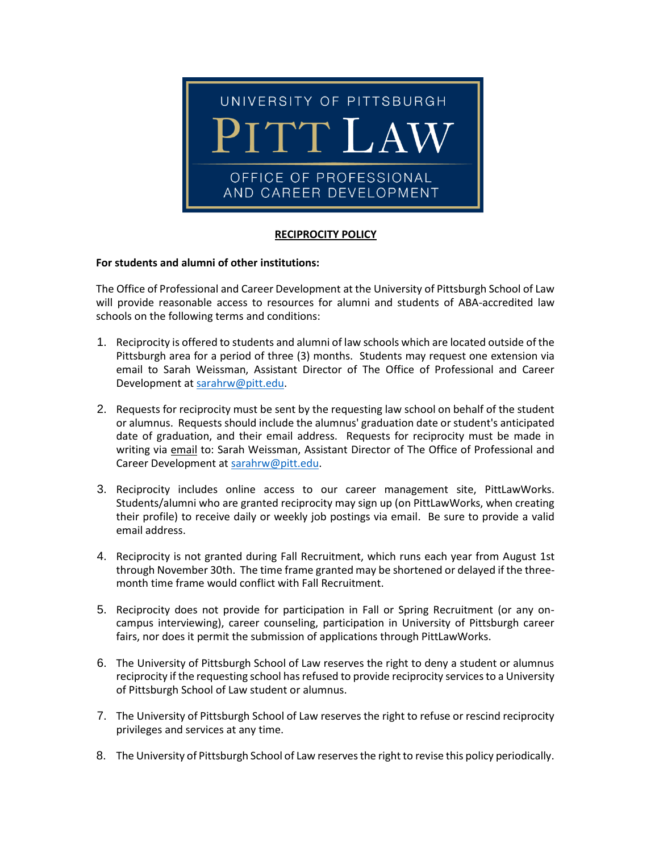

## **RECIPROCITY POLICY**

## **For students and alumni of other institutions:**

The Office of Professional and Career Development at the University of Pittsburgh School of Law will provide reasonable access to resources for alumni and students of ABA-accredited law schools on the following terms and conditions:

- 1. Reciprocity is offered to students and alumni of law schools which are located outside of the Pittsburgh area for a period of three (3) months. Students may request one extension via email to Sarah Weissman, Assistant Director of The Office of Professional and Career Development a[t sarahrw@pitt.edu.](mailto:sarahrw@pitt.edu)
- 2. Requests for reciprocity must be sent by the requesting law school on behalf of the student or alumnus. Requests should include the alumnus' graduation date or student's anticipated date of graduation, and their email address. Requests for reciprocity must be made in writing via email to: Sarah Weissman, Assistant Director of The Office of Professional and Career Development at [sarahrw@pitt.edu.](mailto:sarahrw@pitt.edu)
- 3. Reciprocity includes online access to our career management site, PittLawWorks. Students/alumni who are granted reciprocity may sign up (on PittLawWorks, when creating their profile) to receive daily or weekly job postings via email. Be sure to provide a valid email address.
- 4. Reciprocity is not granted during Fall Recruitment, which runs each year from August 1st through November 30th. The time frame granted may be shortened or delayed if the threemonth time frame would conflict with Fall Recruitment.
- 5. Reciprocity does not provide for participation in Fall or Spring Recruitment (or any oncampus interviewing), career counseling, participation in University of Pittsburgh career fairs, nor does it permit the submission of applications through PittLawWorks.
- 6. The University of Pittsburgh School of Law reserves the right to deny a student or alumnus reciprocity if the requesting school has refused to provide reciprocity services to a University of Pittsburgh School of Law student or alumnus.
- 7. The University of Pittsburgh School of Law reserves the right to refuse or rescind reciprocity privileges and services at any time.
- 8. The University of Pittsburgh School of Law reserves the right to revise this policy periodically.